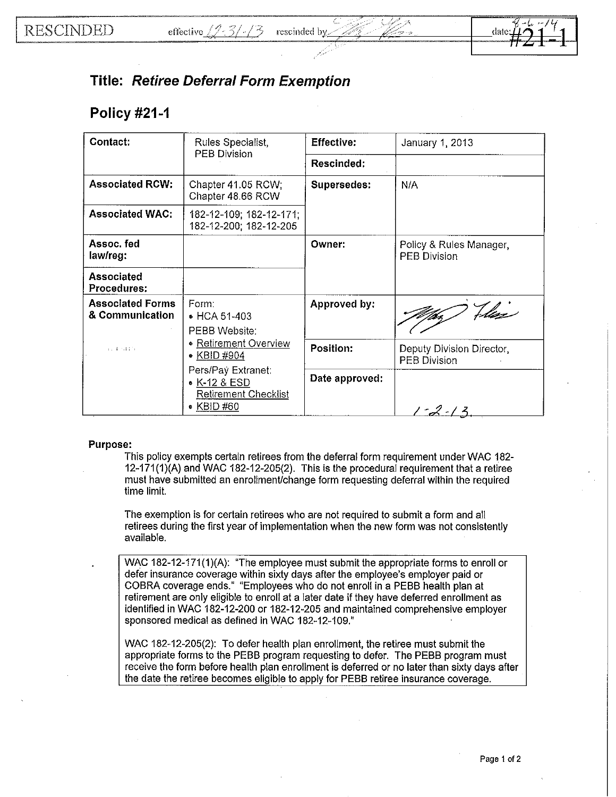## **Title: Retiree Deferral Form Exemption**

## **Policy #21-1**

| Contact:                                   | Rules Specialist,<br><b>PEB Division</b>                                                                                                                                               | <b>Effective:</b>  | January 1, 2013                                  |
|--------------------------------------------|----------------------------------------------------------------------------------------------------------------------------------------------------------------------------------------|--------------------|--------------------------------------------------|
|                                            |                                                                                                                                                                                        | Rescinded:         |                                                  |
| <b>Associated RCW:</b>                     | Chapter 41.05 RCW.<br>Chapter 48.66 RCW                                                                                                                                                | <b>Supersedes:</b> | N/A                                              |
| <b>Associated WAC:</b>                     | 182-12-109; 182-12-171;<br>182-12-200; 182-12-205                                                                                                                                      |                    |                                                  |
| Assoc. fed<br>law/reg:                     |                                                                                                                                                                                        | Owner:             | Policy & Rules Manager,<br><b>PEB Division</b>   |
| <b>Associated</b><br>Procedures:           |                                                                                                                                                                                        |                    |                                                  |
| <b>Associated Forms</b><br>& Communication | Form:<br>• HCA 51-403<br>PEBB Website:<br><b>• Retirement Overview</b><br>35-4-54479<br>• KBID #904<br>Pers/Pay Extranet:<br>• K-12 & ESD<br><b>Retirement Checklist</b><br>• KBID #60 | Approved by:       | Files<br>Ud                                      |
|                                            |                                                                                                                                                                                        | Position:          | Deputy Division Director,<br><b>PEB Division</b> |
|                                            |                                                                                                                                                                                        | Date approved:     | $-2/3$                                           |

## **Purpose:**

This policy exempts certain retirees from the deferral form requirement under WAC 182-12-171 (1)(A} and WAC 182-12-205(2). This is the procedural requirement that a retiree must have submitted an enrollmenUchange form requesting deferral within the required time limit.

The exemption is for certain retirees who are not required to submit a form and all retirees during the first year of implementation when the new form was not consistently available.

WAC 182-12-171(1)(A): "The employee must submit the appropriate forms to enroll or defer insurance coverage within sixty days after the employee's employer paid or COBRA coverage ends." "Employees who do not enroll in a PEBB health plan at retirement are only eligible to enroll at a later date if they have deferred enrollment as identified in WAC 182-12-200 or 182-12-205 and maintained comprehensive employer sponsored medical as defined in WAC 182-12-109."

WAC 182-12-205(2): To defer health plan enrollment, the retiree must submit the appropriate forms to the PEBB program requesting to defer. The PEBB program must receive the form before health plan enrollment is deferred or no later than sixty days after the date the retiree becomes eligible to apply for PEBB retiree insurance coverage.